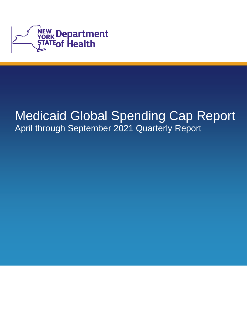

# Medicaid Global Spending Cap Report April through September 2021 Quarterly Report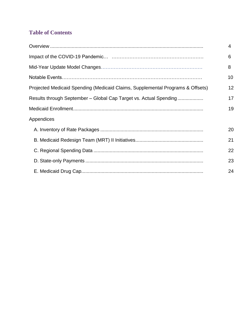# **Table of Contents**

|                                                                                | 4  |
|--------------------------------------------------------------------------------|----|
|                                                                                | 6  |
|                                                                                | 8  |
|                                                                                | 10 |
| Projected Medicaid Spending (Medicaid Claims, Supplemental Programs & Offsets) | 12 |
| Results through September - Global Cap Target vs. Actual Spending              | 17 |
|                                                                                | 19 |
| Appendices                                                                     |    |
|                                                                                | 20 |
|                                                                                | 21 |
|                                                                                | 22 |
|                                                                                | 23 |
|                                                                                | 24 |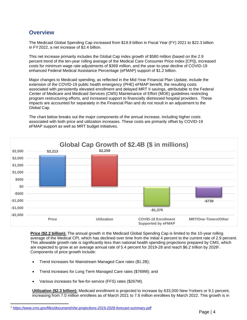### <span id="page-3-0"></span>**Overview**

 The Medicaid Global Spending Cap increased from \$19.9 billion in Fiscal Year (FY) 2021 to \$22.3 billion in FY2022, a net increase of \$2.4 billion.

This net increase primarily includes the Global Cap index growth of \$580 million (based on the 2.9 percent trend of the ten-year rolling average of the Medical Care Consumer Price Index [CPI]), increased costs for minimum wage rate adjustments of \$369 million, and the year-to-year decline of COVID-19 enhanced Federal Medical Assistance Percentage (eFMAP) support of \$1.2 billion.

 Major changes to Medicaid spending, as reflected in the Mid-Year Financial Plan Update, include the program restructuring efforts, and increased support to financially distressed hospital providers. These impacts are accounted for separately in the Financial Plan and do not result in an adjustment to the extension of the COVID-19 public health emergency (PHE) eFMAP benefit, the resulting costs associated with persistently elevated enrollment and delayed MRT II savings, attributable to the Federal Center of Medicare and Medicaid Services (CMS) Maintenance of Effort (MOE) guidelines restricting Global Cap.

The chart below breaks out the major components of the annual increase, including higher costs associated with both price and utilization increases. These costs are primarily offset by COVID-19 eFMAP support as well as MRT budget initiatives.



 **Price (\$2.2 billion):** The annual growth in the Medicaid Global Spending Cap is limited to the 10-year rolling This allowable growth rate is significantly less than national health spending projections prepared by CMS, which are expected to grow at an average annual rate of 5.4 percent for 2019-28 and reach \$6.2 trillion by 20281. average of the Medical CPI, which has declined over time from the initial 4 percent to the current rate of 2.9 percent. Components of price growth include:

- Trend increases for Mainstream Managed Care rates (\$1.2B);
- Trend increases for Long Term Managed Care rates (\$769M); and
- Various increases for fee-for-service (FFS) rates (\$267M).

 increasing from 7.0 million enrollees as of March 2021 to 7.6 million enrollees by March 2022. This growth is in **Utilization (\$2.3 billion):** Medicaid enrollment is projected to increase by 633,000 New Yorkers or 9.1 percent,

*<sup>1</sup><https://www.cms.gov/files/document/nhe-projections-2019-2028-forecast-summary.pdf>*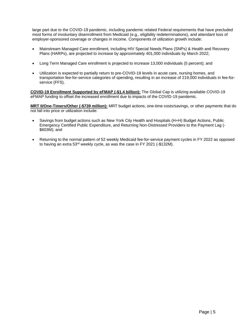large part due to the COVID-19 pandemic, including pandemic related Federal requirements that have precluded most forms of involuntary disenrollment from Medicaid (e.g., eligibility redeterminations), and attendant loss of employer-sponsored coverage or changes in income. Components of utilization growth include:

- Mainstream Managed Care enrollment, including HIV Special Needs Plans (SNPs) & Health and Recovery Plans (HARPs), are projected to increase by approximately 401,000 individuals by March 2022;
- Long Term Managed Care enrollment is projected to increase 13,000 individuals (5 percent); and
- Utilization is expected to partially return to pre-COVID-19 levels in acute care, nursing homes, and transportation fee-for-service categories of spending, resulting in an increase of 219,000 individuals in fee-forservice (FFS).

**COVID-19 Enrollment Supported by eFMAP (-\$1.4 billion):** The Global Cap is utilizing available COVID-19 eFMAP funding to offset the increased enrollment due to impacts of the COVID-19 pandemic.

 not fall into price or utilization include: **MRT II/One-Timers/Other (-\$739 million):** MRT budget actions, one-time costs/savings, or other payments that do

- Savings from budget actions such as New York City Health and Hospitals (H+H) Budget Actions, Public Emergency Certified Public Expenditure, and Returning Non-Distressed Providers to the Payment Lag (- \$603M); and
- to having an extra 53<sup>rd</sup> weekly cycle, as was the case in FY 2021 (-\$132M). • Returning to the normal pattern of 52 weekly Medicaid fee-for-service payment cycles in FY 2022 as opposed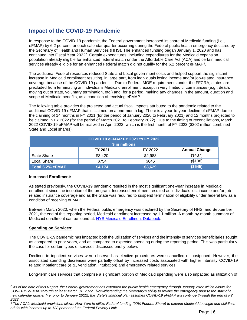# **Impact of the COVID-19 Pandemic**

 eFMAP) by 6.2 percent for each calendar quarter occurring during the Federal public health emergency declared by services already eligible for an enhanced Federal match did not qualify for the 6.2 percent eFMAP<sup>3</sup>. In response to the COVID-19 pandemic, the Federal government increased its share of Medicaid funding (i.e., the Secretary of Health and Human Services (HHS). The enhanced funding began January 1, 2020 and has continued into Fiscal Year 2022<sup>2</sup>. Certain expenditures, including expenditures for the Medicaid expansion population already eligible for enhanced federal match under the Affordable Care Act (ACA) and certain medical

The additional Federal resources reduced State and Local government costs and helped support the significant increase in Medicaid enrollment resulting, in large part, from individuals losing income and/or job-related insurance coverage because of the COVID-19 pandemic. Due to Federal MOE requirements under the FFCRA, states are precluded from terminating an individual's Medicaid enrollment, except in very limited circumstances (e.g., death, moving out of state, voluntary termination, etc.) and, for a period, making any changes in the amount, duration and scope of Medicaid benefits, as a condition of receiving eFMAP.

The following table provides the projected and actual fiscal impacts attributed to the pandemic related to the additional COVID-19 eFMAP that is claimed on a one-month lag. There is a year-to-year decline of eFMAP due to the claiming of 14 months in FY 2021 (for the period of January 2020 to February 2021) and 12 months projected to be claimed in FY 2022 (for the period of March 2021 to February 2022). Due to the timing of reconciliations, March 2022 COVID-19 eFMAP will be realized in April 2022, which is the first month of FY 2023 (\$302 million combined State and Local shares).

| COVID 19 eFMAP FY 2021 to FY 2022<br>\$ in millions |         |         |                      |
|-----------------------------------------------------|---------|---------|----------------------|
|                                                     | FY 2021 | FY 2022 | <b>Annual Change</b> |
| State Share                                         | \$3,420 | \$2,983 | (\$437)              |
| Local Share                                         | \$754   | \$646   | (\$108)              |
| Total 6.2% eFMAP                                    | \$4,174 | \$3,629 | (\$545)              |

#### **Increased Enrollment:**

As stated previously, the COVID-19 pandemic resulted in the most significant one-year increase in Medicaid enrollment since the inception of the program. Increased enrollment resulted as individuals lost income and/or jobrelated insurance coverage and as the State was required to suspend termination of eligibility under federal law as a condition of receiving eFMAP.

Between March 2020, when the Federal public emergency was declared by the Secretary of HHS, and September 2021, the end of this reporting period, Medicaid enrollment increased by 1.1 million. A month-by-month summary of Medicaid enrollment can be found at: [NYS Medicaid Enrollment Databook.](https://www.health.ny.gov/health_care/medicaid/enrollment/) 

#### **Spending on Services:**

 The COVID-19 pandemic has impacted both the utilization of services and the intensity of services beneficiaries sought as compared to prior years, and as compared to expected spending during the reporting period. This was particularly the case for certain types of services discussed briefly below.

 Declines in inpatient services were observed as elective procedures were cancelled or postponed. However, the associated spending decreases were partially offset by increased costs associated with higher intensity COVID-19 related inpatient care (e.g., ventilation, intubation) and emergency related services.

Long-term care services that comprise a significant portion of Medicaid spending were also impacted as utilization of

 *2 As of the date of this Report, the Federal government has extended the public health emergency through January 2022 which allows for COVID-19 eFMAP through at least March 31, 2022. Notwithstanding the Secretary's ability to revoke the emergency prior to the start of a new calendar quarter (i.e. prior to January 2022), the State's financial plan assumes COVID-19 eFMAP will continue through the end of FY 2022.* 

 <sup>3</sup>*The ACA's Medicaid provisions allows New York to utilize Federal funding (90% Federal Share) to expand Medicaid to single and childless adults with incomes up to 138 percent of the Federal Poverty Limit.*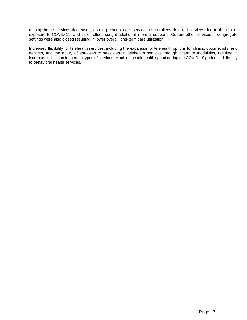nursing home services decreased; as did personal care services as enrollees deferred services due to the risk of exposure to COVID-19, and as enrollees sought additional informal supports. Certain other services in congregate settings were also closed resulting in lower overall long-term care utilization.

 Increased flexibility for telehealth services, including the expansion of telehealth options for clinics, optometrists, and dentists, and the ability of enrollees to seek certain telehealth services through alternate modalities, resulted in increased utilization for certain types of services. Much of the telehealth spend during the COVID-19 period tied directly to behavioral health services.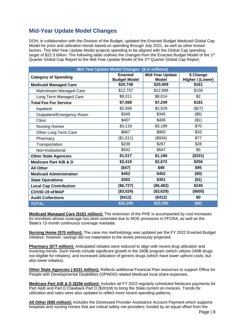# **Mid-Year Update Model Changes**

 DOH, in collaboration with the Division of the Budget, updated the Enacted Budget Medicaid Global Cap Model for price and utilization trends based on spending through July 2021, as well as other known factors. This Mid-Year Update Model projects spending to be aligned with the Global Cap spending target of \$22.3 billion. The following table outlines the changes from the Enacted Budget Model of the 1<sup>st</sup> Quarter Global Cap Report to the Mid-Year Update Model of the 2<sup>nd</sup> Quarter Global Cap Report.

| Mid Year Update Model Changes (\$ in millions) |                                       |                                        |                               |  |
|------------------------------------------------|---------------------------------------|----------------------------------------|-------------------------------|--|
| <b>Category of Spending</b>                    | <b>Enacted</b><br><b>Budget Model</b> | <b>Mid-Year Update</b><br><b>Model</b> | \$ Change<br>Higher / (Lower) |  |
| <b>Medicaid Managed Care</b>                   | \$20,748                              | \$20,909                               | \$161                         |  |
| Mainstream Managed Care                        | \$12,737                              | \$12,896                               | \$158                         |  |
| Long Term Managed Care                         | \$8,011                               | \$8,014                                | \$2                           |  |
| <b>Total Fee For Service</b>                   | \$7,068                               | \$7,249                                | \$181                         |  |
| Inpatient                                      | \$2,556                               | \$2,529                                | (\$27)                        |  |
| Outpatient/Emergency Room                      | \$349                                 | \$345                                  | $($ \$5)                      |  |
| Clinic                                         | \$407                                 | \$406                                  | ( \$1)                        |  |
| <b>Nursing Homes</b>                           | \$3,119                               | \$3,189                                | \$70                          |  |
| Other Long Term Care                           | \$867                                 | \$900                                  | \$33                          |  |
| Pharmacy                                       | (\$1,011)                             | (\$934)                                | \$77                          |  |
| Transportation                                 | \$239                                 | \$267                                  | \$28                          |  |
| Non-Institutional                              | \$542                                 | \$547                                  | \$5                           |  |
| <b>Other State Agencies</b>                    | \$1,517                               | \$1,186                                | (\$331)                       |  |
| <b>Medicare Part A/B &amp; D</b>               | \$2,416                               | \$2,672                                | \$256                         |  |
| <b>All Other</b>                               | (\$47)                                | \$48                                   | \$95                          |  |
| <b>Medicaid Administration</b>                 | \$452                                 | \$452                                  | (50)                          |  |
| <b>State Operations</b>                        | \$302                                 | \$301                                  | (\$1)                         |  |
| <b>Local Cap Contribution</b>                  | (\$6,727)                             | (\$6,482)                              | \$245                         |  |
| <b>COVID-19 eFMAP</b>                          | (\$3,024)                             | (\$3,629)                              | (\$605)                       |  |
| <b>Audit Collections</b>                       | (\$412)                               | (\$412)                                | \$0                           |  |
| <b>TOTAL</b>                                   | \$22,295                              | \$22,295                               | (\$0)                         |  |

**Medicaid Managed Care (\$161 million):** The extension of the PHE is accompanied by cost increases for enrollees whose coverage has been extended due to MOE provisions in FFCRA, as well as the State's 12-month continuous coverage mandate.

 **Nursing Home (\$70 million):** The case mix methodology was updated per the FY 2022 Enacted Budget initiative; however, savings did not materialize to the levels previously projected.

 also lower rebates). **Pharmacy (\$77 million):** Anticipated rebates were reduced to align with recent drug utilization and invoicing trends. Such trends include significant growth in the 340B program (which utilizes 340B drugs not eligible for rebates), and increased utilization of generic drugs (which have lower upfront costs, but

**Other State Agencies (-\$331 million):** Reflects additional Financial Plan resources to support Office for People with Developmental Disabilities (OPWDD) related Medicaid local share expenses.

**Medicare Part A/B & D (\$256 million):** Includes all FY 2022 regularly scheduled Medicare payments for Part A&B and Part D Clawback Part D (\$201M) to bring the State current on invoices. Trends for utilization and rates were also updated to reflect more recent spending patterns.

 hospitals and nursing homes that are critical safety-net providers; funded by an equal offset from the **All Other (\$95 million):** Includes the Distressed Provider Assistance Account Payment which supports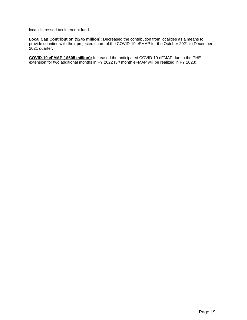local distressed tax intercept fund.

**Local Cap Contribution (\$245 million):** Decreased the contribution from localities as a means to provide counties with their projected share of the COVID-19 eFMAP for the October 2021 to December 2021 quarter.

**COVID-19 eFMAP (-\$605 million):** Increased the anticipated COVID-19 eFMAP due to the PHE extension for two additional months in FY 2022 ( $3<sup>rd</sup>$  month eFMAP will be realized in FY 2023).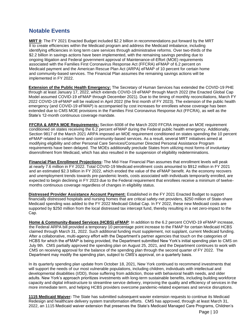### **Notable Events**

 and community-based services. The Financial Plan assumes the remaining savings actions will be **MRT II:** The FY 2021 Enacted Budget included \$2.2 billion in recommendations put forward by the MRT II to create efficiencies within the Medicaid program and address the Medicaid imbalance, including identifying efficiencies in long term care services through administrative reforms. Over two-thirds of the \$2.2 billion in savings actions have been implemented, with the remaining savings pending due to ongoing litigation and Federal government approval of Maintenance-of-Effort (MOE) requirements associated with the Families First Coronavirus Response Act (FFCRA) eFMAP of 6.2 percent on Medicaid payment and the American Rescue Plan Act (ARPA) eFMAP of 10 percent for certain home implemented in FY 2022.

 **Extension of the Public Health Emergency:** The Secretary of Human Services has extended the COVID-19 PHE 2022 COVID-19 eFMAP will be realized in April 2022 (the first month of FY 2023). The extension of the public health emergency (and COVID-19 eFMAP) is accompanied by cost increases for enrollees whose coverage has been through at least January 17, 2022, which extends COVID-19 eFMAP through March 2022 (the Enacted Global Cap Model assumed COVID-19 eFMAP through December 2021). Due to the timing of monthly reconciliations, March FY extended due to CMS MOE provisions in the Families First Coronavirus Response Act (FFCRA), as well as the State's 12-month continuous coverage mandate.

 conditioned on states receiving the 6.2 percent eFMAP during the Federal public health emergency. Additionally, Section 9817 of the March 2021 ARPA imposed an MOE requirement conditioned on states spending the 10 percent modifying eligibility and other Personal Care Services/Consumer Directed Personal Assistance Program disenrollment from Medicaid, which has also resulted in the suspension of eligibility redeterminations. **FFCRA & ARPA MOE Requirements:** Section 6008 of the March 2020 FFCRA imposed an MOE requirement eFMAP related to certain home and community-based services. As a result, several MRT initiatives aimed at requirements have been delayed. The MOEs additionally preclude States from utilizing most forms of involuntary

 at nearly 7.6 million in FY 2022. Total COVID-19 Medicaid enrollment costs amounted to \$912 million in FY 2021 and an estimated \$2.3 billion in FY 2022, which eroded the value of the eFMAP benefit. As the economy recovers **Financial Plan Enrollment Projections:** The Mid-Year Financial Plan assumes that enrollment levels will peak and unemployment trends towards pre-pandemic levels, costs associated with individuals temporarily enrolled, are expected to begin declining in FY 2023 due to the Federal requirement that enrollees receive a minimum of twelvemonths continuous coverage regardless of changes in eligibility status.

**Distressed Provider Assistance Account Payment:** Established in the FY 2021 Enacted Budget to support financially distressed hospitals and nursing homes that are critical safety-net providers, \$250 million of State-share Medicaid spending was added to the FY 2022 Medicaid Global Cap. In FY 2022, these new Medicaid costs are supported by \$250 million from the local distressed tax intercept fund, thereby resulting in a net zero-impact to the Cap.

 **Home & Community-Based Services (HCBS) eFMAP**: In addition to the 6.2 percent COVID-19 eFMAP increase, the Federal ARPA bill provided a temporary 10 percentage point increase to the FMAP for certain Medicaid HCBS claimed through March 31, 2022. Such additional funding must supplement, not supplant, current Medicaid funding. After a collaborative, multi-agency effort with the Department's partner agencies that touch on the categories of HCBS for which the eFMAP is being provided, the Department submitted New York's initial spending plan to CMS on July 9th. CMS partially approved the spending plan on August 25, 2021, and the Department continues to work with CMS on receiving approval for the balance of the spending plan through the second quarter of FY 2022. The Department may modify the spending plan, subject to CMS's approval, on a quarterly basis.

In its quarterly spending plan update from October 18, 2021, New York continued to recommend investments that will support the needs of our most vulnerable populations, including children, individuals with intellectual and developmental disabilities (I/DD), those suffering from addiction, those with behavioral health needs, and older adults. New York's approach prioritizes investments with long-term sustainable benefits, including building workforce capacity and digital infrastructure to streamline service delivery, improving the quality and efficiency of services in the more immediate term, and helping HCBS providers overcome pandemic-related expenses and service disruptions.

**1115 Medicaid Waiver:** The State has submitted subsequent wavier extension requests to continue its Medicaid Redesign and healthcare delivery system transformation efforts. CMS has approved, through at least March 31, 2022, an 1115 Medicaid waiver extension that preserves the State's Medicaid Managed Care Programs, Children's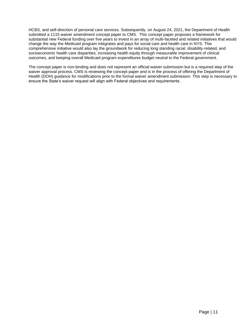HCBS, and self-direction of personal care services. Subsequently, on August 24, 2021, the Department of Health submitted a 1115 waiver amendment concept paper to CMS. This concept paper proposes a framework for substantial new Federal funding over five years to invest in an array of multi-faceted and related initiatives that would change the way the Medicaid program integrates and pays for social care and health care in NYS. This comprehensive initiative would also lay the groundwork for reducing long standing racial, disability-related, and socioeconomic health care disparities, increasing health equity through measurable improvement of clinical outcomes, and keeping overall Medicaid program expenditures budget neutral to the Federal government.

 waiver approval process. CMS is reviewing the concept paper and is in the process of offering the Department of ensure the State's waiver request will align with Federal objectives and requirements. The concept paper is non-binding and does not represent an official waiver submission but is a required step of the Health (DOH) guidance for modifications prior to the formal waiver amendment submission. This step is necessary to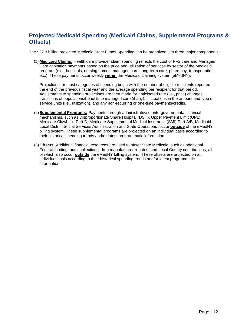# <span id="page-11-0"></span>**Projected Medicaid Spending (Medicaid Claims, Supplemental Programs & Offsets)**

The \$22.3 billion projected Medicaid State Funds Spending can be organized into three major components:

(1) **Medicaid Claims:** Health care provider claim spending reflects the cost of FFS care and Managed Care capitation payments based on the price and utilization of services by sector of the Medicaid program (e.g., hospitals, nursing homes, managed care, long-term care, pharmacy, transportation, etc.). These payments occur weekly **within** the Medicaid claiming system (eMedNY).

 transitions of populations/benefits to managed care (if any), fluctuations in the amount and type of Projections for most categories of spending begin with the number of eligible recipients reported at the end of the previous fiscal year and the average spending per recipient for that period. Adjustments to spending projections are then made for anticipated rate (i.e., price) changes, service units (i.e., utilization), and any non-recurring or one-time payments/credits.

- (2) **Supplemental Programs:** Payments through administrative or intergovernmental financial mechanisms, such as Disproportionate Share Hospital (DSH), Upper Payment Limit (UPL), Medicare Clawback Part D, Medicare Supplemental Medical Insurance (SMI) Part A/B, Medicaid Local District Social Services Administration and State Operations, occur **outside** of the eMedNY billing system. These supplemental programs are projected on an individual basis according to their historical spending trends and/or latest programmatic information.
- (3) **Offsets:** Additional financial resources are used to offset State Medicaid, such as additional Federal funding, audit collections, drug manufacturer rebates, and Local County contributions, all of which also occur **outside** the eMedNY billing system. These offsets are projected on an individual basis according to their historical spending trends and/or latest programmatic information.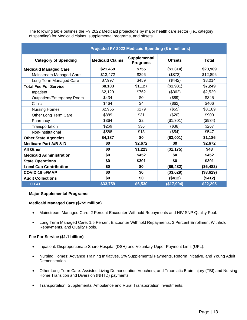of spending) for Medicaid claims, supplemental programs, and offsets. The following table outlines the FY 2022 Medicaid projections by major health care sector (i.e., category

| Projected FY 2022 Medicaid Spending (\$ in millions) |                        |                                 |                |              |
|------------------------------------------------------|------------------------|---------------------------------|----------------|--------------|
| <b>Category of Spending</b>                          | <b>Medicaid Claims</b> | Supplemental<br><b>Programs</b> | <b>Offsets</b> | <b>Total</b> |
| <b>Medicaid Managed Care</b>                         | \$21,469               | \$755                           | (\$1,314)      | \$20,909     |
| Mainstream Managed Care                              | \$13,472               | \$296                           | (\$872)        | \$12,896     |
| Long Term Managed Care                               | \$7,997                | \$459                           | (\$442)        | \$8,014      |
| <b>Total Fee For Service</b>                         | \$8,103                | \$1,127                         | (\$1,981)      | \$7,249      |
| Inpatient                                            | \$2,129                | \$762                           | (\$362)        | \$2,529      |
| Outpatient/Emergency Room                            | \$434                  | \$0                             | (\$89)         | \$345        |
| Clinic                                               | \$464                  | \$4                             | (\$62)         | \$406        |
| <b>Nursing Homes</b>                                 | \$2,965                | \$279                           | (\$55)         | \$3,189      |
| Other Long Term Care                                 | \$889                  | \$31                            | (\$20)         | \$900        |
| Pharmacy                                             | \$364                  | \$2                             | (\$1,301)      | (\$934)      |
| Transportation                                       | \$269                  | \$36                            | (\$38)         | \$267        |
| Non-Institutional                                    | \$588                  | \$13                            | (\$54)         | \$547        |
| <b>Other State Agencies</b>                          | \$4,187                | \$0                             | (\$3,001)      | \$1,186      |
| <b>Medicare Part A/B &amp; D</b>                     | \$0                    | \$2,672                         | \$0            | \$2,672      |
| <b>All Other</b>                                     | \$0                    | \$1,223                         | (\$1,175)      | \$48         |
| <b>Medicaid Administration</b>                       | \$0                    | \$452                           | \$0            | \$452        |
| <b>State Operations</b>                              | \$0                    | \$301                           | \$0            | \$301        |
| <b>Local Cap Contribution</b>                        | \$0                    | \$0                             | (\$6,482)      | (\$6,482)    |
| <b>COVID-19 eFMAP</b>                                | \$0                    | \$0                             | (\$3,629)      | (\$3,629)    |
| <b>Audit Collections</b>                             | \$0                    | \$0                             | (\$412)        | (\$412)      |
| <b>TOTAL</b>                                         | \$33,759               | \$6,530                         | (\$17,994)     | \$22,295     |

#### **Major Supplemental Programs:**

#### **Medicaid Managed Care (\$755 million)**

- Mainstream Managed Care: 2 Percent Encounter Withhold Repayments and HIV SNP Quality Pool.
- • Long Term Managed Care: 1.5 Percent Encounter Withhold Repayments, 3 Percent Enrollment Withhold Repayments, and Quality Pools.

#### **Fee For Service (\$1.1 billion)**

- Inpatient: Disproportionate Share Hospital (DSH) and Voluntary Upper Payment Limit (UPL).
- Nursing Homes: Advance Training Initiatives, 2% Supplemental Payments, Reform Initiative, and Young Adult Demonstration.
- • Other Long Term Care: Assisted Living Demonstration Vouchers, and Traumatic Brain Injury (TBI) and Nursing Home Transition and Diversion (NHTD) payments.
- Transportation: Supplemental Ambulance and Rural Transportation Investments.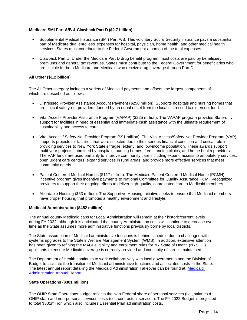#### **Medicare SMI Part A/B & Clawback Part D (\$2.7 billion)**

- • Supplemental Medical Insurance (SMI) Part A/B: This voluntary Social Security insurance pays a substantial part of Medicare dual enrollees' expenses for hospital, physician, home health, and other medical health services. States must contribute to the Federal Government a portion of the total expenses.
- premiums and general tax revenues. States must contribute to the Federal Government for beneficiaries who • Clawback Part D: Under the Medicare Part D drug benefit program, most costs are paid by beneficiary are eligible for both Medicare and Medicaid who receive drug coverage through Part D.

#### **All Other (\$1.2 billion)**

 The All Other category includes a variety of Medicaid payments and offsets, the largest components of which are described as follows:

- Distressed Provider Assistance Account Payment (\$250 million): Supports hospitals and nursing homes that are critical safety-net providers; funded by an equal offset from the local distressed tax intercept fund.
- • Vital Access Provider Assurance Program (VAPAP) (\$225 million): The VAPAP program provides State-only support for facilities in need of essential and immediate cash assistance with the ultimate requirement of sustainability and access to care.
- supports projects for facilities that were selected due to their serious financial condition and critical role in • Vital Access / Safety Net Provider Program (\$91 million): The Vital Access/Safety Net Provider Program (VAP) providing services to New York State's fragile, elderly, and low-income population. These awards support multi-year projects submitted by hospitals, nursing homes, free standing clinics, and home health providers. The VAP funds are used primarily to improve community care including expand access to ambulatory services, open urgent care centers, expand services in rural areas, and provide more effective services that meet community needs.
- Patient Centered Medical Homes (\$117 million): The Medicaid Patient Centered Medical Home (PCMH) incentive program gives incentive payments to National Committee for Quality Assurance PCMH-recognized providers to support their ongoing efforts to deliver high-quality, coordinated care to Medicaid members.
- Affordable Housing (\$63 million): The Supportive Housing Initiative seeks to ensure that Medicaid members have proper housing that promotes a healthy environment and lifestyle.

#### **Medicaid Administration (\$452 million)**

The annual county Medicaid caps for Local Administration will remain at their historic/current levels during FY 2022, although it is anticipated that county Administration costs will continue to decrease over time as the State assumes more administrative functions previously borne by local districts.

 systems upgrades to the State's Welfare Management System (WMS). In addition, extensive attention The State assumption of Medicaid administrative functions is behind schedule due to challenges with has been given to refining the MAGI eligibility and enrollment rules for NY State of Health (NYSOH) applicants to ensure Medicaid coverage is correctly provided and continuity of care is maintained.

The Department of Health continues to work collaboratively with local governments and the Division of Budget to facilitate the transition of Medicaid administrative functions and associated costs to the State. The latest annual report detailing the [Medicaid](https://www.health.ny.gov/health_care/medicaid/redesign/program_streamlining_workgroup.htm) Administration Takeover can be found at: Medicaid [Administration Annual Report.](https://www.health.ny.gov/health_care/medicaid/redesign/program_streamlining_workgroup.htm) 

#### **State Operations (\$301 million)**

The OHIP State Operations budget reflects the Non-Federal share of personal services (i.e., salaries d OHIP staff) and non-personal services costs (i.e., contractual services). The FY 2022 Budget is projected to total \$301million which also includes Essential Plan administration costs.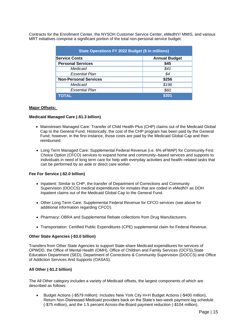Contracts for the Enrollment Center, the NYSOH Customer Service Center, eMedNY/ MMIS, and various MRT initiatives comprise a significant portion of the total non-personal service budget.

| State Operations FY 2022 Budget (\$ in millions) |       |  |  |
|--------------------------------------------------|-------|--|--|
| <b>Service Costs</b><br><b>Annual Budget</b>     |       |  |  |
| <b>Personal Services</b>                         | \$45  |  |  |
| Medicaid                                         | \$41  |  |  |
| Essential Plan                                   | \$4   |  |  |
| <b>Non-Personal Services</b>                     | \$256 |  |  |
| Medicaid                                         | \$196 |  |  |
| <b>Essential Plan</b>                            | \$60  |  |  |
| <b>TOTAL</b>                                     | \$301 |  |  |

#### **Major Offsets:**

#### **Medicaid Managed Care (-\$1.3 billion)**

- reimbursed. • Mainstream Managed Care: Transfer of Child Health Plus (CHP) claims out of the Medicaid Global Cap to the General Fund. Historically, the cost of the CHP program has been paid by the General Fund; however, in the first instance, those costs are paid by the Medicaid Global Cap and then
- Long Term Managed Care: Supplemental Federal Revenue (i.e. 6% eFMAP) for Community First Choice Option (CFCO) services to expand home and community–based services and supports to individuals in need of long term care for help with everyday activities and health–related tasks that can be performed by an aide or direct care worker.

#### **Fee For Service (-\$2.0 billion)**

- Inpatient: Similar to CHP, the transfer of Department of Corrections and Community Supervision (DOCCS) medical expenditures for inmates that are coded in eMedNY as DOH Inpatient claims out of the Medicaid Global Cap to the General Fund.
- Other Long Term Care: Supplemental Federal Revenue for CFCO services (see above for additional information regarding CFCO).
- Pharmacy: OBRA and Supplemental Rebate collections from Drug Manufacturers.
- Transportation: Certified Public Expenditures (CPE) supplemental claim for Federal Revenue.

#### **Other State Agencies (-\$3.0 billion)**

 Transfers from Other State Agencies to support State-share Medicaid expenditures for services of OPWDD, the Office of Mental Health (OMH), Office of Children and Family Services (OCFS),State Education Department (SED), Department of Corrections & Community Supervision (DOCCS) and Office of Addiction Services And Supports (OASAS).

#### **All Other (-\$1.2 billion)**

The All Other category includes a variety of Medicaid offsets, the largest components of which are described as follows:

• Budget Actions (-\$579 million): Includes New York City H+H Budget Actions (-\$400 million), Return Non-Distressed Medicaid providers back on the State's two-week payment lag schedule (-\$75 million), and the 1.5 percent Across-the-Board payment reduction (-\$104 million).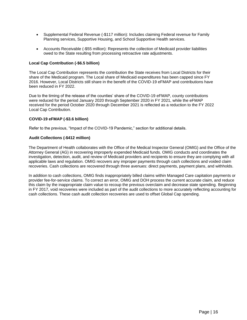- Supplemental Federal Revenue (-\$117 million): Includes claiming Federal revenue for Family Planning services, Supportive Housing, and School Supportive Health services.
- owed to the State resulting from processing retroactive rate adjustments. • Accounts Receivable (-\$55 million): Represents the collection of Medicaid provider liabilities

#### **Local Cap Contribution (-\$6.5 billion)**

 2016. However, Local Districts still share in the benefit of the COVID-19 eFMAP and contributions have The Local Cap Contribution represents the contribution the State receives from Local Districts for their share of the Medicaid program. The Local share of Medicaid expenditures has been capped since FY been reduced in FY 2022.

 were reduced for the period January 2020 through September 2020 in FY 2021, while the eFMAP Due to the timing of the release of the counties' share of the COVID-19 eFMAP, county contributions received for the period October 2020 through December 2021 is reflected as a reduction to the FY 2022 Local Cap Contribution.

#### **COVID-19 eFMAP (-\$3.6 billion)**

Refer to the previous, "Impact of the COVID-19 Pandemic," section for additional details.

#### **Audit Collections (-\$412 million)**

 investigation, detection, audit, and review of Medicaid providers and recipients to ensure they are complying with all The Department of Health collaborates with the Office of the Medical Inspector General (OMIG) and the Office of the Attorney General (AG) in recovering improperly expended Medicaid funds. OMIG conducts and coordinates the applicable laws and regulation. OMIG recovers any improper payments through cash collections and voided claim recoveries. Cash collections are recovered through three avenues: direct payments, payment plans, and withholds.

In addition to cash collections, OMIG finds inappropriately billed claims within Managed Care capitation payments or provider fee-for-service claims. To correct an error, OMIG and DOH process the current accurate claim, and reduce this claim by the inappropriate claim value to recoup the previous overclaim and decrease state spending. Beginning in FY 2017, void recoveries were included as part of the audit collections to more accurately reflecting accounting for cash collections. These cash audit collection recoveries are used to offset Global Cap spending.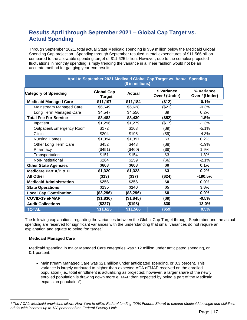# **Results April through September 2021 – Global Cap Target vs. Actual Spending**

Through September 2021, total actual State Medicaid spending is \$59 million below the Medicaid Global Spending Cap projection. Spending through September resulted in total expenditures of \$11.566 billion compared to the allowable spending target of \$11.625 billion. However, due to the complex projected fluctuations in monthly spending, simply trending the variance in a linear fashion would not be an accurate method for gauging year-end results.

| April to September 2021 Medicaid Global Cap Target vs. Actual Spending<br>(\$ in millions) |                                    |               |                               |                              |
|--------------------------------------------------------------------------------------------|------------------------------------|---------------|-------------------------------|------------------------------|
| <b>Category of Spending</b>                                                                | <b>Global Cap</b><br><b>Target</b> | <b>Actual</b> | \$ Variance<br>Over / (Under) | % Variance<br>Over / (Under) |
| <b>Medicaid Managed Care</b>                                                               | \$11,197                           | \$11,184      | (\$12)                        | $-0.1%$                      |
| Mainstream Managed Care                                                                    | \$6,649                            | \$6,628       | (\$21)                        | $-0.3%$                      |
| Long Term Managed Care                                                                     | \$4,547                            | \$4,556       | \$9                           | 0.2%                         |
| <b>Total Fee For Service</b>                                                               | \$3,482                            | \$3,430       | (\$52)                        | $-1.5%$                      |
| Inpatient                                                                                  | \$1,296                            | \$1,279       | (\$17)                        | $-1.3%$                      |
| Outpatient/Emergency Room                                                                  | \$172                              | \$163         | (\$9)                         | $-5.1%$                      |
| Clinic                                                                                     | \$204                              | \$195         | (\$9)                         | $-4.3%$                      |
| <b>Nursing Homes</b>                                                                       | \$1,394                            | \$1,397       | \$3                           | 0.2%                         |
| Other Long Term Care                                                                       | \$452                              | \$443         | (\$8)                         | $-1.9%$                      |
| Pharmacy                                                                                   | (\$451)                            | (\$460)       | (\$8)                         | 1.9%                         |
| Transportation                                                                             | \$151                              | \$154         | \$3                           | 1.8%                         |
| Non-Institutional                                                                          | \$264                              | \$259         | $($ \$6)                      | $-2.1%$                      |
| <b>Other State Agencies</b>                                                                | \$608                              | \$608         | \$0                           | 0.1%                         |
| <b>Medicare Part A/B &amp; D</b>                                                           | \$1,320                            | \$1,323       | \$3                           | 0.2%                         |
| <b>All Other</b>                                                                           | (\$13)                             | (\$37)        | (\$24)                        | $-190.5%$                    |
| <b>Medicaid Administration</b>                                                             | \$256                              | \$256         | \$0                           | 0.0%                         |
| <b>State Operations</b>                                                                    | \$135                              | \$140         | \$5                           | 3.8%                         |
| <b>Local Cap Contribution</b>                                                              | (\$3,296)                          | (\$3,296)     | \$0                           | $0.0\%$                      |
| <b>COVID-19 eFMAP</b>                                                                      | (\$1,836)                          | (\$1,845)     | (\$9)                         | $-0.5%$                      |
| <b>Audit Collections</b>                                                                   | (\$227)                            | (\$198)       | \$30                          | 13.0%                        |
| <b>TOTAL</b>                                                                               | \$11,625                           | \$11,566      | (\$59)                        | 0.5%                         |

 The following explanations regarding the variances between the Global Cap Target through September and the actual spending are reserved for significant variances with the understanding that small variances do not require an explanation and equate to being "on target."

#### **Medicaid Managed Care**

Medicaid spending in major Managed Care categories was \$12 million under anticipated spending, or 0.1 percent.

• Mainstream Managed Care was \$21 million under anticipated spending, or 0.3 percent. This variance is largely attributed to higher-than-expected ACA eFMAP received on the enrolled population (i.e., total enrollment is actualizing as projected; however, a larger share of the newly enrolled population is drawing down more eFMAP than expected by being a part of the Medicaid expansion population<sup>4</sup>).

 *4 The ACA's Medicaid provisions allows New York to utilize Federal funding (90% Federal Share) to expand Medicaid to single and childless adults with incomes up to 138 percent of the Federal Poverty Limit.*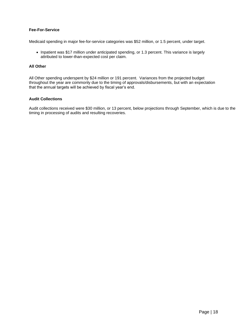#### **Fee-For-Service**

Medicaid spending in major fee-for-service categories was \$52 million, or 1.5 percent, under target.

• Inpatient was \$17 million under anticipated spending, or 1.3 percent. This variance is largely attributed to lower-than-expected cost per claim.

#### **All Other**

All Other spending underspent by \$24 million or 191 percent. Variances from the projected budget throughout the year are commonly due to the timing of approvals/disbursements, but with an expectation that the annual targets will be achieved by fiscal year's end.

#### **Audit Collections**

Audit collections received were \$30 million, or 13 percent, below projections through September, which is due to the timing in processing of audits and resulting recoveries.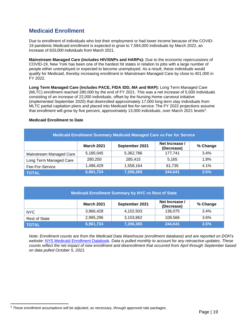# **Medicaid Enrollment**

 Due to enrollment of individuals who lost their employment or had lower income because of the COVID-19 pandemic Medicaid enrollment is expected to grow to 7,594,000 individuals by March 2022, an increase of 633,000 individuals from March 2021.

**Mainstream Managed Care (includes HIV/SNPs and HARPs):** Due to the economic repercussions of COVID-19, New York has been one of the hardest hit states in relation to jobs with a large number of people either unemployed or expected to become unemployed. As a result, these individuals would qualify for Medicaid, thereby increasing enrollment in Mainstream Managed Care by close to 401,000 in FY 2022.

**Long Term Managed Care (includes PACE, FIDA IDD, MA and MAP):** Long Term Managed Care (MLTC) enrollment reached 280,000 by the end of FY 2021. This was a net increase of 5,000 individuals consisting of an increase of 22,000 individuals, offset by the Nursing Home carveout initiative (implemented September 2020) that disenrolled approximately 17,000 long term stay individuals from MLTC partial capitation plans and placed into Medicaid fee-for-service. The FY 2022 projections assume that enrollment will grow by five percent, approximately 13,000 individuals, over March 2021 levels<sup>5</sup>.

#### **Medicaid Enrollment to Date**

<span id="page-18-0"></span>

| <b>Medicaid Enrollment Summary Medicaid Managed Care vs Fee for Service</b> |                   |                |                              |          |
|-----------------------------------------------------------------------------|-------------------|----------------|------------------------------|----------|
|                                                                             | <b>March 2021</b> | September 2021 | Net Increase /<br>(Decrease) | % Change |
| Mainstream Managed Care                                                     | 5,185,045         | 5,362,786      | 177,741                      | 3.4%     |
| Long Term Managed Care                                                      | 280,250           | 285,415        | 5.165                        | 1.8%     |
| Fee-For-Service                                                             | 1,496,429         | 1,558,164      | 61,735                       | 4.1%     |
| <b>TOTAL</b>                                                                | 6,961,724         | 7,206,365      | 244,641                      | 3.5%     |

| <b>Medicaid Enrollment Summary by NYC vs Rest of State</b> |                   |                |                              |          |
|------------------------------------------------------------|-------------------|----------------|------------------------------|----------|
|                                                            | <b>March 2021</b> | September 2021 | Net Increase /<br>(Decrease) | % Change |
| NYC.                                                       | 3,966,428         | 4,102,503      | 136,075                      | 3.4%     |
| <b>Rest of State</b>                                       | 2,995,296         | 3,103,862      | 108,566                      | 3.6%     |
| <b>TOTAL</b>                                               | 6,961,724         | 7,206,365      | 244,641                      | 3.5%     |

 *counts reflect the net impact of new enrollment and disenrollment that occurred from April through September based Note: Enrollment counts are from the Medicaid Data Warehouse (enrollment database) and are reported on DOH's website:* [NYS Medicaid Enrollment Databook](https://www.health.ny.gov/health_care/medicaid/enrollment/)*. Data is pulled monthly to account for any retroactive updates. These on data pulled October 5, 2021.* 

*<sup>5</sup> These enrollment assumptions will be adjusted, as necessary, through approved rate packages.*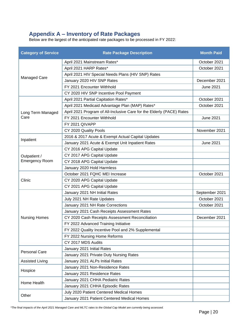### **Appendix A – Inventory of Rate Packages**

Below are the largest of the anticipated rate packages to be processed in FY 2022:

| <b>Category of Service</b> | <b>Rate Package Description</b>                                       | <b>Month Paid</b> |
|----------------------------|-----------------------------------------------------------------------|-------------------|
|                            | April 2021 Mainstream Rates*                                          | October 2021      |
|                            | April 2021 HARP Rates*                                                | October 2021      |
|                            | April 2021 HIV Special Needs Plans (HIV SNP) Rates                    |                   |
| Managed Care               | January 2020 HIV SNP Rates                                            | December 2021     |
|                            | FY 2021 Encounter Withhold                                            | <b>June 2021</b>  |
|                            | CY 2020 HIV SNP Incentive Pool Payment                                |                   |
|                            | April 2021 Partial Capitation Rates*                                  | October 2021      |
|                            | April 2021 Medicaid Advantage Plan (MAP) Rates*                       | October 2021      |
| Long Term Managed          | April 2021 Program of All-Inclusive Care for the Elderly (PACE) Rates |                   |
| Care                       | FY 2021 Encounter Withhold                                            | <b>June 2021</b>  |
|                            | FY 2021 QIVAPP                                                        |                   |
|                            | CY 2020 Quality Pools                                                 | November 2021     |
|                            | 2016 & 2017 Acute & Exempt Actual Capital Updates                     |                   |
| Inpatient                  | January 2021 Acute & Exempt Unit Inpatient Rates                      | <b>June 2021</b>  |
|                            | CY 2016 APG Capital Update                                            |                   |
| Outpatient /               | CY 2017 APG Capital Update                                            |                   |
| <b>Emergency Room</b>      | CY 2018 APG Capital Update                                            |                   |
|                            | January 2020 Hold Harmless                                            |                   |
|                            | October 2021 FQHC MEI Increase                                        | October 2021      |
| Clinic                     | CY 2020 APG Capital Update                                            |                   |
|                            | CY 2021 APG Capital Update                                            |                   |
|                            | January 2021 NH Initial Rates                                         | September 2021    |
|                            | July 2021 NH Rate Updates                                             | October 2021      |
|                            | January 2021 NH Rate Corrections                                      | October 2021      |
|                            | January 2021 Cash Receipts Assessment Rates                           |                   |
| <b>Nursing Homes</b>       | CY 2020 Cash Receipts Assessment Reconciliation                       | December 2021     |
|                            | FY 2022 Advanced Training Initiative                                  |                   |
|                            | FY 2022 Quality Incentive Pool and 2% Supplemental                    |                   |
|                            | FY 2022 Nursing Home Reforms                                          |                   |
|                            | CY 2017 MDS Audits                                                    |                   |
|                            | January 2021 Initial Rates                                            |                   |
| <b>Personal Care</b>       | January 2021 Private Duty Nursing Rates                               |                   |
| <b>Assisted Living</b>     | January 2021 ALPs Initial Rates                                       |                   |
|                            | January 2021 Non-Residence Rates                                      |                   |
| Hospice                    | January 2021 Residence Rates                                          |                   |
|                            | January 2021 CHHA Pediatric Rates                                     |                   |
| Home Health                | January 2021 CHHA Episodic Rates                                      |                   |
|                            | July 2020 Patient Centered Medical Homes                              |                   |
| Other                      | January 2021 Patient Centered Medical Homes                           |                   |

 *\*The final impacts of the April 2021 Managed Care and MLTC rates to the Global Cap Model are currently being assessed.*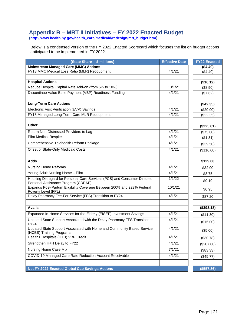### **Appendix B – MRT II Initiatives – FY 2022 Enacted Budget**

**[\(http://www.health.ny.gov/health\\_care/medicaid/redesign/mrt\\_budget.htm\)](http://www.health.ny.gov/health_care/medicaid/redesign/mrt_budget.htm)** 

Below is a condensed version of the FY 2022 Enacted Scorecard which focuses the list on budget actions anticipated to be implemented in FY 2022.

| (State Share \$ millions)                                                                                       | <b>Effective Date</b> | <b>FY22 Enacted</b> |
|-----------------------------------------------------------------------------------------------------------------|-----------------------|---------------------|
| <b>Mainstream Managed Care (MMC) Actions</b>                                                                    |                       | (\$4.40)            |
| FY18 MMC Medical Loss Ratio (MLR) Recoupment                                                                    | 4/1/21                | (\$4.40)            |
|                                                                                                                 |                       |                     |
| <b>Hospital Actions</b>                                                                                         |                       | (\$16.12)           |
| Reduce Hospital Capital Rate Add-on (from 5% to 10%)                                                            | 10/1/21               | (\$8.50)            |
| Discontinue Value Base Payment (VBP) Readiness Funding                                                          | 4/1/21                | (\$7.62)            |
|                                                                                                                 |                       |                     |
| <b>Long-Term Care Actions</b>                                                                                   |                       | (\$42.35)           |
| Electronic Visit Verification (EVV) Savings                                                                     | 4/1/21                | (\$20.00)           |
| FY18 Managed Long-Term Care MLR Recoupment                                                                      | 4/1/21                | (\$22.35)           |
|                                                                                                                 |                       |                     |
| <b>Other</b>                                                                                                    |                       | (\$225.81)          |
| Return Non-Distressed Providers to Lag                                                                          | 4/1/21                | (\$75.00)           |
| <b>Pilot Medical Respite</b>                                                                                    | 4/1/21                | (\$1.31)            |
| Comprehensive Telehealth Reform Package                                                                         | 4/1/21                | (\$39.50)           |
| Offset of State-Only Medicaid Costs                                                                             | 4/1/21                | (\$110.00)          |
|                                                                                                                 |                       |                     |
| <b>Adds</b>                                                                                                     |                       | \$129.00            |
| <b>Nursing Home Reforms</b>                                                                                     | 4/1/21                | \$32.00             |
| Young Adult Nursing Home - Pilot                                                                                | 4/1/21                | \$8.75              |
| Housing Disregard for Personal Care Services (PCS) and Consumer Directed<br>Personal Assistance Program (CDPAP) | 1/1/22                | \$0.10              |
| Expands Post-Partum Eligibility Coverage Between 200% and 223% Federal<br>Poverty Level (FPL)                   | 10/1/21               | \$0.95              |
| Delay Pharmacy Fee-For-Service (FFS) Transition to FY24                                                         | 4/1/21                | \$87.20             |
|                                                                                                                 |                       |                     |
| <b>Avails</b>                                                                                                   |                       | (\$398.18)          |
| Expanded In-Home Services for the Elderly (EISEP) Investment Savings                                            | 4/1/21                | (\$11.30)           |
| Updated State Support Associated with the Delay Pharmacy FFS Transition to<br><b>FY24</b>                       | 4/1/21                | (\$15.00)           |
| Updated State Support Associated with Home and Community Based Service<br>(HCBS) Training Programs              | 4/1/21                | (\$5.00)            |
| Health+ Hospitals (H+H) VBP Credit                                                                              | 4/1/21                | (\$30.78)           |
| Strengthen H+H Delay to FY22                                                                                    | 4/1/21                | (\$207.00)          |
| <b>Nursing Home Case Mix</b>                                                                                    | 7/1/21                | (\$83.33)           |
| COVID-19 Managed Care Rate Reduction Account Receivable                                                         | 4/1/21                | (\$45.77)           |
|                                                                                                                 |                       |                     |
| <b>Net FY 2022 Enacted Global Cap Savings Actions</b>                                                           |                       | (\$557.86)          |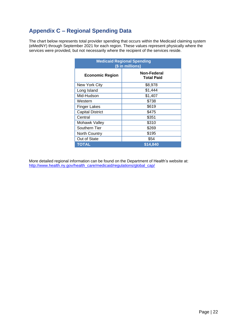# **Appendix C – Regional Spending Data**

The chart below represents total provider spending that occurs within the Medicaid claiming system (eMedNY) through September 2021 for each region. These values represent physically where the services were provided, but not necessarily where the recipient of the services reside.

| <b>Medicaid Regional Spending</b><br>(\$ in millions) |                                  |  |  |
|-------------------------------------------------------|----------------------------------|--|--|
| <b>Economic Region</b>                                | Non-Federal<br><b>Total Paid</b> |  |  |
| New York City                                         | \$8,978                          |  |  |
| Long Island                                           | \$1,444                          |  |  |
| Mid-Hudson                                            | \$1,407                          |  |  |
| Western                                               | \$738                            |  |  |
| <b>Finger Lakes</b>                                   | \$619                            |  |  |
| <b>Capital District</b>                               | \$475                            |  |  |
| Central                                               | \$351                            |  |  |
| Mohawk Valley                                         | \$310                            |  |  |
| Southern Tier                                         | \$269                            |  |  |
| <b>North Country</b>                                  | \$195                            |  |  |
| Out of State                                          | \$54                             |  |  |
| TOTAL                                                 | \$14.840                         |  |  |

More detailed regional information can be found on the Department of Health's website at: [http://www.health.ny.gov/health\\_care/medicaid/regulations/global\\_cap/](http://www.health.ny.gov/health_care/medicaid/regulations/global_cap/)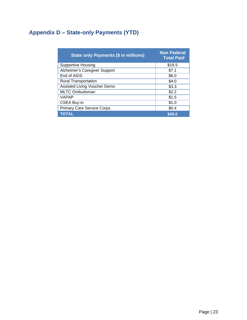# **Appendix D – State-only Payments (YTD)**

| State only Payments (\$ in millions) | <b>Non Federal</b><br><b>Total Paid</b> |
|--------------------------------------|-----------------------------------------|
| <b>Supportive Housing</b>            | \$19.5                                  |
| Alzheimer's Caregiver Support        | \$7.1                                   |
| End of AIDS                          | \$6.0                                   |
| <b>Rural Transportation</b>          | \$4.0                                   |
| Assisted Living Voucher Demo         | \$3.3                                   |
| <b>MLTC Ombudsman</b>                | \$2.2                                   |
| <b>VAPAP</b>                         | \$1.5                                   |
| <b>CSEA Buy-in</b>                   | \$1.0                                   |
| <b>Primary Care Service Corps</b>    | \$0.4                                   |
| <b>TOTAL</b>                         | \$45.0                                  |